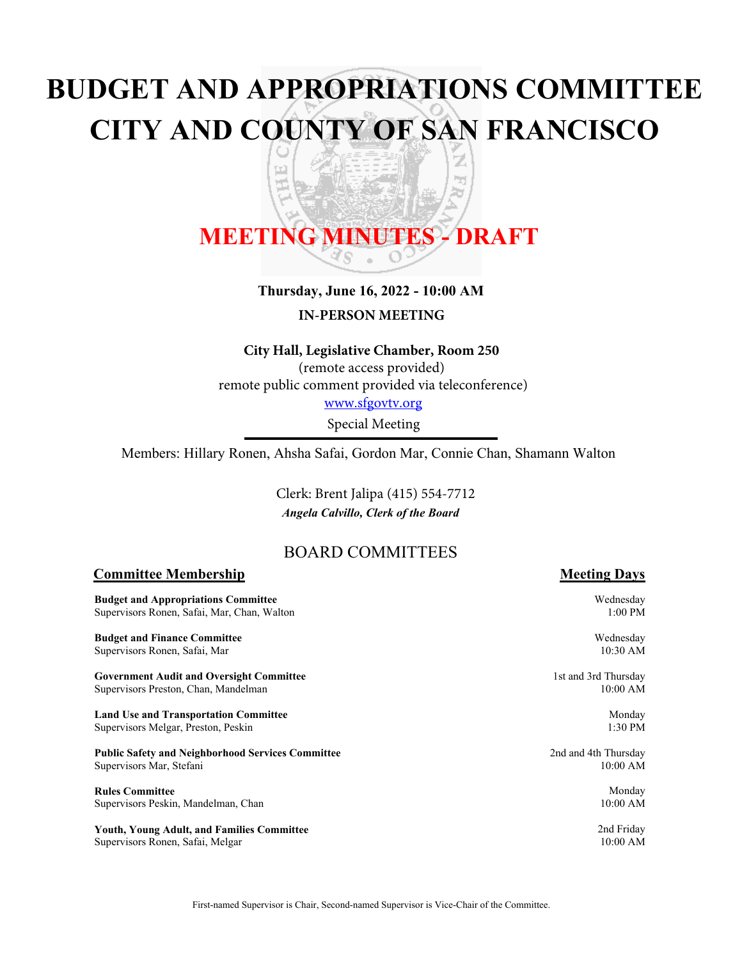# **BUDGET AND APPROPRIATIONS COMMITTEE CITY AND COUNTY OF SAN FRANCISCO**

z

嗊 ਠ

# **MEETING MINUTES - DRAFT**

띠

# **Thursday, June 16, 2022 - 10:00 AM**

**IN-PERSON MEETING**

#### **City Hall, Legislative Chamber, Room 250**

(remote access provided) remote public comment provided via teleconference) <www.sfgovtv.org>

Special Meeting

Members: Hillary Ronen, Ahsha Safai, Gordon Mar, Connie Chan, Shamann Walton

*Angela Calvillo, Clerk of the Board* Clerk: Brent Jalipa (415) 554-7712

# BOARD COMMITTEES

#### **Committee Membership Meeting Days**

**Budget** Supervi

**Budget** Supervi

**Govern** Supervi

**Land U** Supervis

**Public S** Supervi

**Rules** C Supervi

Youth, Supervisors Ronen, Safai, Melgar

| and Appropriations Committee<br>sors Ronen, Safai, Mar, Chan, Walton | Wednesday<br>$1:00$ PM |
|----------------------------------------------------------------------|------------------------|
| and Finance Committee                                                | Wednesday              |
| sors Ronen, Safai, Mar                                               | 10:30 AM               |
| ment Audit and Oversight Committee                                   | 1st and 3rd Thursday   |
| sors Preston, Chan, Mandelman                                        | 10:00 AM               |
| se and Transportation Committee                                      | Monday                 |
| sors Melgar, Preston, Peskin                                         | $1:30$ PM              |
| Safety and Neighborhood Services Committee                           | 2nd and 4th Thursday   |
| sors Mar, Stefani                                                    | $10:00$ AM             |
| <b>Committee</b>                                                     | Monday                 |
| sors Peskin, Mandelman, Chan                                         | 10:00 AM               |
| <b>Young Adult, and Families Committee</b>                           | 2nd Friday             |
| sors Ronen-Safai-Melgar                                              | $10:00$ AM             |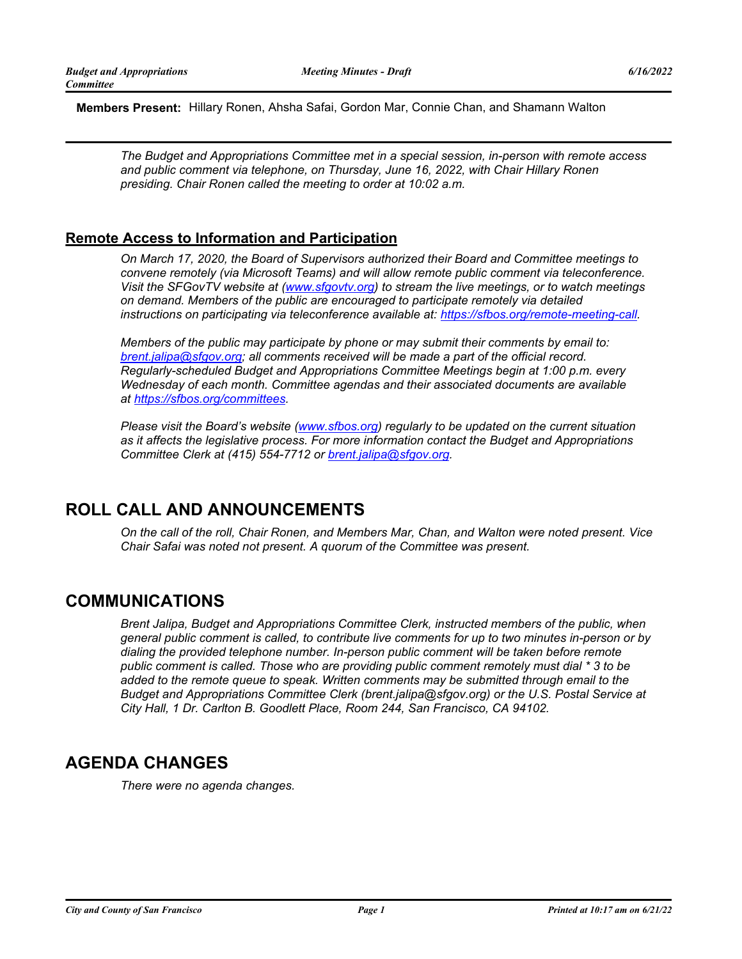**Members Present:** Hillary Ronen, Ahsha Safai, Gordon Mar, Connie Chan, and Shamann Walton

*The Budget and Appropriations Committee met in a special session, in-person with remote access and public comment via telephone, on Thursday, June 16, 2022, with Chair Hillary Ronen presiding. Chair Ronen called the meeting to order at 10:02 a.m.*

### **Remote Access to Information and Participation**

*On March 17, 2020, the Board of Supervisors authorized their Board and Committee meetings to convene remotely (via Microsoft Teams) and will allow remote public comment via teleconference. Visit the SFGovTV website at [\(www.sfgovtv.org\)](www.sfgovtv.org) to stream the live meetings, or to watch meetings on demand. Members of the public are encouraged to participate remotely via detailed instructions on participating via teleconference available at: [https://sfbos.org/remote-meeting-call.](https://sfbos.org/remote-meeting-call)*

*Members of the public may participate by phone or may submit their comments by email to: [brent.jalipa@sfgov.org;](mailto:brent.jalipa@sfgov.org) all comments received will be made a part of the official record. Regularly-scheduled Budget and Appropriations Committee Meetings begin at 1:00 p.m. every Wednesday of each month. Committee agendas and their associated documents are available at [https://sfbos.org/committees.](https://sfbos.org/committees)*

*Please visit the Board's website [\(www.sfbos.org\)](www.sfbos.org) regularly to be updated on the current situation as it affects the legislative process. For more information contact the Budget and Appropriations Committee Clerk at (415) 554-7712 or [brent.jalipa@sfgov.org.](mailto:brent.jalipa@sfgov.org)*

# **ROLL CALL AND ANNOUNCEMENTS**

*On the call of the roll, Chair Ronen, and Members Mar, Chan, and Walton were noted present. Vice Chair Safai was noted not present. A quorum of the Committee was present.*

# **COMMUNICATIONS**

*Brent Jalipa, Budget and Appropriations Committee Clerk, instructed members of the public, when general public comment is called, to contribute live comments for up to two minutes in-person or by dialing the provided telephone number. In-person public comment will be taken before remote public comment is called. Those who are providing public comment remotely must dial \* 3 to be added to the remote queue to speak. Written comments may be submitted through email to the Budget and Appropriations Committee Clerk (brent.jalipa@sfgov.org) or the U.S. Postal Service at City Hall, 1 Dr. Carlton B. Goodlett Place, Room 244, San Francisco, CA 94102.*

# **AGENDA CHANGES**

*There were no agenda changes.*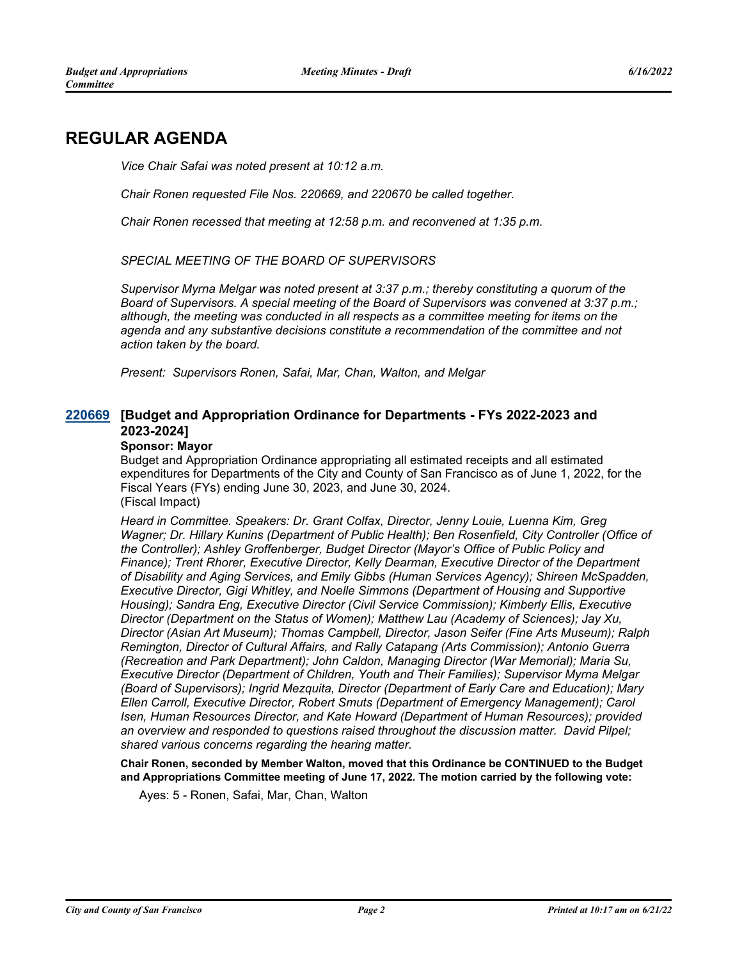# **REGULAR AGENDA**

*Vice Chair Safai was noted present at 10:12 a.m.*

*Chair Ronen requested File Nos. 220669, and 220670 be called together.*

*Chair Ronen recessed that meeting at 12:58 p.m. and reconvened at 1:35 p.m.*

*SPECIAL MEETING OF THE BOARD OF SUPERVISORS*

*Supervisor Myrna Melgar was noted present at 3:37 p.m.; thereby constituting a quorum of the Board of Supervisors. A special meeting of the Board of Supervisors was convened at 3:37 p.m.; although, the meeting was conducted in all respects as a committee meeting for items on the agenda and any substantive decisions constitute a recommendation of the committee and not action taken by the board.*

*Present: Supervisors Ronen, Safai, Mar, Chan, Walton, and Melgar*

#### **[Budget and Appropriation Ordinance for Departments - FYs 2022-2023 and [220669](http://sfgov.legistar.com/gateway.aspx?m=l&id=38861) 2023-2024]**

#### **Sponsor: Mayor**

Budget and Appropriation Ordinance appropriating all estimated receipts and all estimated expenditures for Departments of the City and County of San Francisco as of June 1, 2022, for the Fiscal Years (FYs) ending June 30, 2023, and June 30, 2024. (Fiscal Impact)

*Heard in Committee. Speakers: Dr. Grant Colfax, Director, Jenny Louie, Luenna Kim, Greg Wagner; Dr. Hillary Kunins (Department of Public Health); Ben Rosenfield, City Controller (Office of the Controller); Ashley Groffenberger, Budget Director (Mayor's Office of Public Policy and Finance); Trent Rhorer, Executive Director, Kelly Dearman, Executive Director of the Department of Disability and Aging Services, and Emily Gibbs (Human Services Agency); Shireen McSpadden, Executive Director, Gigi Whitley, and Noelle Simmons (Department of Housing and Supportive Housing); Sandra Eng, Executive Director (Civil Service Commission); Kimberly Ellis, Executive Director (Department on the Status of Women); Matthew Lau (Academy of Sciences); Jay Xu, Director (Asian Art Museum); Thomas Campbell, Director, Jason Seifer (Fine Arts Museum); Ralph Remington, Director of Cultural Affairs, and Rally Catapang (Arts Commission); Antonio Guerra (Recreation and Park Department); John Caldon, Managing Director (War Memorial); Maria Su, Executive Director (Department of Children, Youth and Their Families); Supervisor Myrna Melgar (Board of Supervisors); Ingrid Mezquita, Director (Department of Early Care and Education); Mary Ellen Carroll, Executive Director, Robert Smuts (Department of Emergency Management); Carol Isen, Human Resources Director, and Kate Howard (Department of Human Resources); provided an overview and responded to questions raised throughout the discussion matter. David Pilpel; shared various concerns regarding the hearing matter.*

**Chair Ronen, seconded by Member Walton, moved that this Ordinance be CONTINUED to the Budget and Appropriations Committee meeting of June 17, 2022. The motion carried by the following vote:**

Ayes: 5 - Ronen, Safai, Mar, Chan, Walton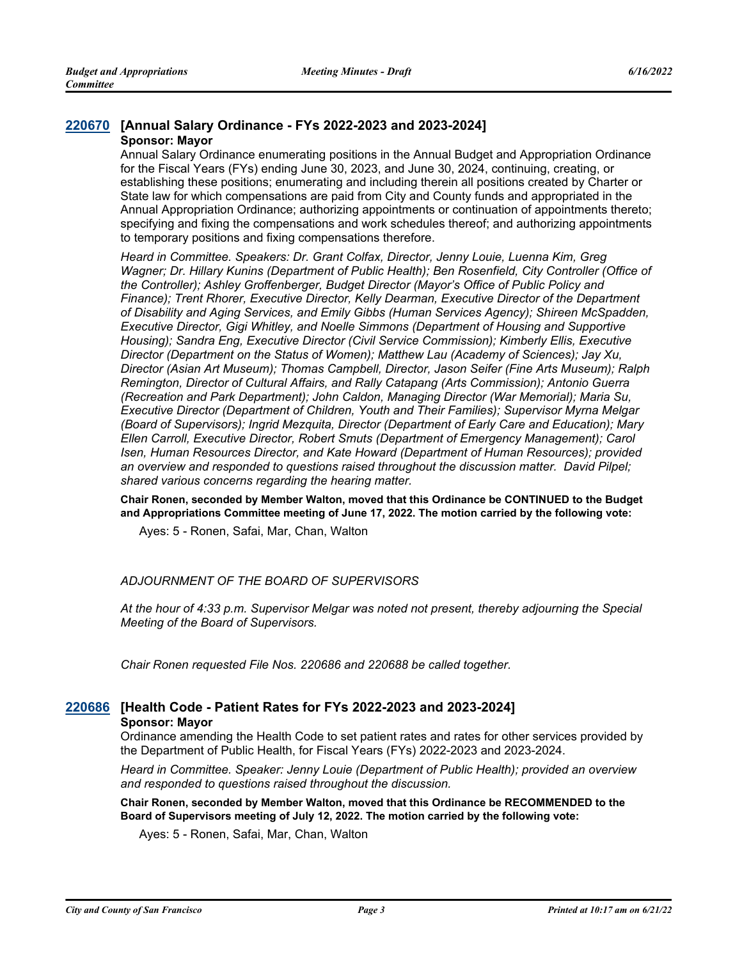#### **[220670](http://sfgov.legistar.com/gateway.aspx?m=l&id=38862) [Annual Salary Ordinance - FYs 2022-2023 and 2023-2024] Sponsor: Mayor**

Annual Salary Ordinance enumerating positions in the Annual Budget and Appropriation Ordinance for the Fiscal Years (FYs) ending June 30, 2023, and June 30, 2024, continuing, creating, or establishing these positions; enumerating and including therein all positions created by Charter or State law for which compensations are paid from City and County funds and appropriated in the Annual Appropriation Ordinance; authorizing appointments or continuation of appointments thereto; specifying and fixing the compensations and work schedules thereof; and authorizing appointments to temporary positions and fixing compensations therefore.

*Heard in Committee. Speakers: Dr. Grant Colfax, Director, Jenny Louie, Luenna Kim, Greg Wagner; Dr. Hillary Kunins (Department of Public Health); Ben Rosenfield, City Controller (Office of the Controller); Ashley Groffenberger, Budget Director (Mayor's Office of Public Policy and Finance); Trent Rhorer, Executive Director, Kelly Dearman, Executive Director of the Department of Disability and Aging Services, and Emily Gibbs (Human Services Agency); Shireen McSpadden, Executive Director, Gigi Whitley, and Noelle Simmons (Department of Housing and Supportive Housing); Sandra Eng, Executive Director (Civil Service Commission); Kimberly Ellis, Executive Director (Department on the Status of Women); Matthew Lau (Academy of Sciences); Jay Xu, Director (Asian Art Museum); Thomas Campbell, Director, Jason Seifer (Fine Arts Museum); Ralph Remington, Director of Cultural Affairs, and Rally Catapang (Arts Commission); Antonio Guerra (Recreation and Park Department); John Caldon, Managing Director (War Memorial); Maria Su, Executive Director (Department of Children, Youth and Their Families); Supervisor Myrna Melgar (Board of Supervisors); Ingrid Mezquita, Director (Department of Early Care and Education); Mary Ellen Carroll, Executive Director, Robert Smuts (Department of Emergency Management); Carol Isen, Human Resources Director, and Kate Howard (Department of Human Resources); provided an overview and responded to questions raised throughout the discussion matter. David Pilpel; shared various concerns regarding the hearing matter.*

**Chair Ronen, seconded by Member Walton, moved that this Ordinance be CONTINUED to the Budget and Appropriations Committee meeting of June 17, 2022. The motion carried by the following vote:**

Ayes: 5 - Ronen, Safai, Mar, Chan, Walton

#### *ADJOURNMENT OF THE BOARD OF SUPERVISORS*

*At the hour of 4:33 p.m. Supervisor Melgar was noted not present, thereby adjourning the Special Meeting of the Board of Supervisors.*

*Chair Ronen requested File Nos. 220686 and 220688 be called together.*

#### **[220686](http://sfgov.legistar.com/gateway.aspx?m=l&id=38878) [Health Code - Patient Rates for FYs 2022-2023 and 2023-2024] Sponsor: Mayor**

Ordinance amending the Health Code to set patient rates and rates for other services provided by the Department of Public Health, for Fiscal Years (FYs) 2022-2023 and 2023-2024.

*Heard in Committee. Speaker: Jenny Louie (Department of Public Health); provided an overview and responded to questions raised throughout the discussion.*

**Chair Ronen, seconded by Member Walton, moved that this Ordinance be RECOMMENDED to the Board of Supervisors meeting of July 12, 2022. The motion carried by the following vote:**

Ayes: 5 - Ronen, Safai, Mar, Chan, Walton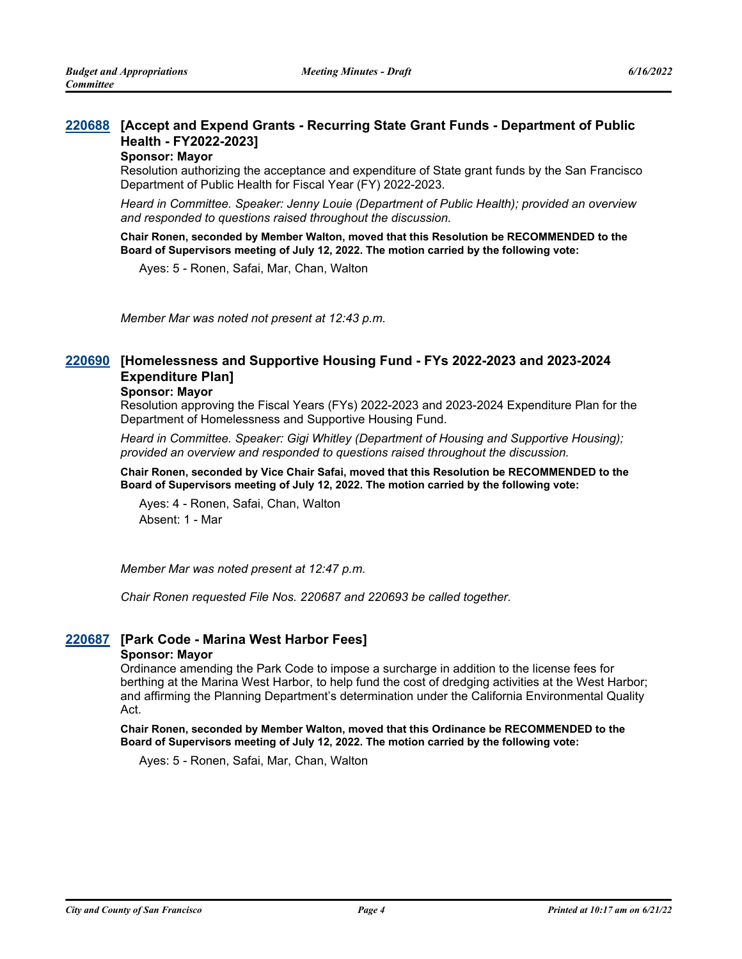#### **[Accept and Expend Grants - Recurring State Grant Funds - Department of Public [220688](http://sfgov.legistar.com/gateway.aspx?m=l&id=38880) Health - FY2022-2023]**

#### **Sponsor: Mayor**

Resolution authorizing the acceptance and expenditure of State grant funds by the San Francisco Department of Public Health for Fiscal Year (FY) 2022-2023.

*Heard in Committee. Speaker: Jenny Louie (Department of Public Health); provided an overview and responded to questions raised throughout the discussion.*

**Chair Ronen, seconded by Member Walton, moved that this Resolution be RECOMMENDED to the Board of Supervisors meeting of July 12, 2022. The motion carried by the following vote:**

Ayes: 5 - Ronen, Safai, Mar, Chan, Walton

*Member Mar was noted not present at 12:43 p.m.*

#### **[Homelessness and Supportive Housing Fund - FYs 2022-2023 and 2023-2024 [220690](http://sfgov.legistar.com/gateway.aspx?m=l&id=38882) Expenditure Plan]**

#### **Sponsor: Mayor**

Resolution approving the Fiscal Years (FYs) 2022-2023 and 2023-2024 Expenditure Plan for the Department of Homelessness and Supportive Housing Fund.

*Heard in Committee. Speaker: Gigi Whitley (Department of Housing and Supportive Housing); provided an overview and responded to questions raised throughout the discussion.*

**Chair Ronen, seconded by Vice Chair Safai, moved that this Resolution be RECOMMENDED to the Board of Supervisors meeting of July 12, 2022. The motion carried by the following vote:**

Ayes: 4 - Ronen, Safai, Chan, Walton Absent: 1 - Mar

*Member Mar was noted present at 12:47 p.m.*

*Chair Ronen requested File Nos. 220687 and 220693 be called together.*

#### **[220687](http://sfgov.legistar.com/gateway.aspx?m=l&id=38879) [Park Code - Marina West Harbor Fees]**

#### **Sponsor: Mayor**

Ordinance amending the Park Code to impose a surcharge in addition to the license fees for berthing at the Marina West Harbor, to help fund the cost of dredging activities at the West Harbor; and affirming the Planning Department's determination under the California Environmental Quality Act.

**Chair Ronen, seconded by Member Walton, moved that this Ordinance be RECOMMENDED to the Board of Supervisors meeting of July 12, 2022. The motion carried by the following vote:**

Ayes: 5 - Ronen, Safai, Mar, Chan, Walton